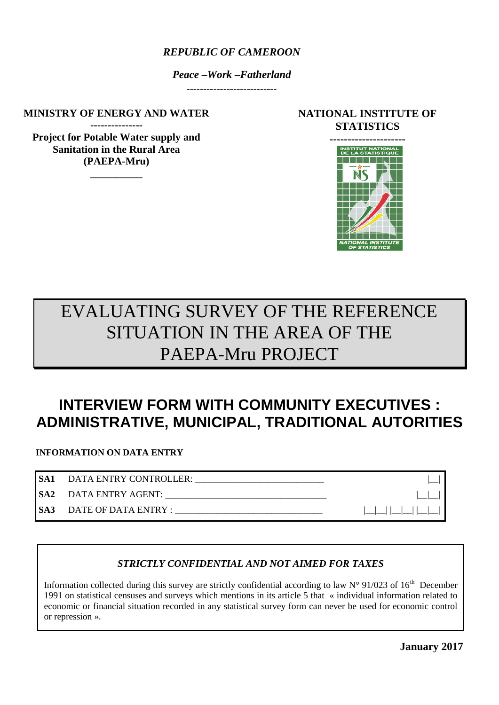### *REPUBLIC OF CAMEROON*

*Peace –Work –Fatherland*

---------------------------

**MINISTRY OF ENERGY AND WATER** 

**--------------- Project for Potable Water supply and Sanitation in the Rural Area (PAEPA-Mru)** 

**\_\_\_\_\_\_\_\_\_\_**

# **NATIONAL INSTITUTE OF STATISTICS**



# EVALUATING SURVEY OF THE REFERENCE SITUATION IN THE AREA OF THE PAEPA-Mru PROJECT

# **INTERVIEW FORM WITH COMMUNITY EXECUTIVES : ADMINISTRATIVE, MUNICIPAL, TRADITIONAL AUTORITIES**

**INFORMATION ON DATA ENTRY**

| SA1 DATA ENTRY CONTROLLER: |   |
|----------------------------|---|
| SA2 DATA ENTRY AGENT:      |   |
|                            | . |

# *STRICTLY CONFIDENTIAL AND NOT AIMED FOR TAXES*

Information collected during this survey are strictly confidential according to law  $N^{\circ}$  91/023 of 16<sup>th</sup> December 1991 on statistical censuses and surveys which mentions in its article 5 that « individual information related to economic or financial situation recorded in any statistical survey form can never be used for economic control or repression ».

**January 2017**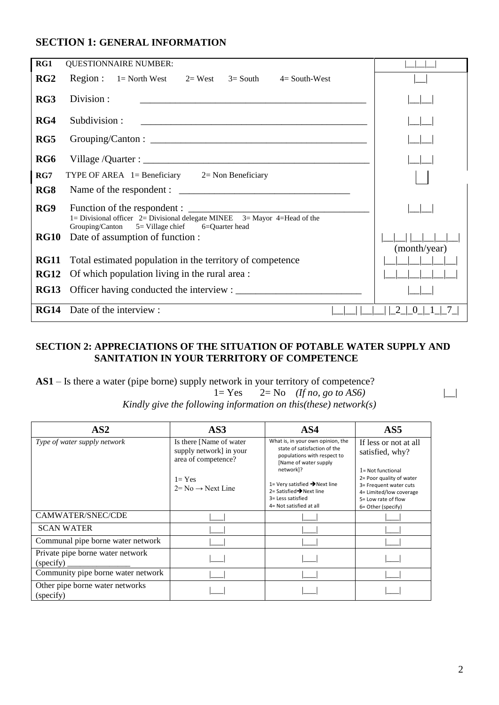# **SECTION 1: GENERAL INFORMATION**

| RG1             | <b>QUESTIONNAIRE NUMBER:</b>                                                                                                                                             |               |
|-----------------|--------------------------------------------------------------------------------------------------------------------------------------------------------------------------|---------------|
| RG <sub>2</sub> | Region : $1 = \text{North West } 2 = \text{West } 3 = \text{South } 3$<br>$4=$ South-West                                                                                |               |
| RG3             | Division:<br><u> 1989 - Johann Harry Harry Harry Harry Harry Harry Harry Harry Harry Harry Harry Harry Harry Harry Harry Harry</u>                                       |               |
| RG4             | Subdivision:                                                                                                                                                             |               |
| RG5             |                                                                                                                                                                          |               |
| RG <sub>6</sub> |                                                                                                                                                                          |               |
| RG7             | TYPE OF AREA $1=$ Beneficiary $2=$ Non Beneficiary                                                                                                                       |               |
| RG8             |                                                                                                                                                                          |               |
| RG9             | Function of the respondent :                                                                                                                                             |               |
| <b>RG10</b>     | 1= Divisional officer $2=$ Divisional delegate MINEE $3=$ Mayor 4=Head of the<br>5 = Village chief 6=Quarter head<br>Grouping/Canton<br>Date of assumption of function : | (month/year)  |
| <b>RG11</b>     | Total estimated population in the territory of competence                                                                                                                |               |
| <b>RG12</b>     | Of which population living in the rural area :                                                                                                                           |               |
| <b>RG13</b>     |                                                                                                                                                                          |               |
| <b>RG14</b>     | Date of the interview :                                                                                                                                                  | $\theta$<br>2 |

#### **SECTION 2: APPRECIATIONS OF THE SITUATION OF POTABLE WATER SUPPLY AND SANITATION IN YOUR TERRITORY OF COMPETENCE**

**AS1** – Is there a water (pipe borne) supply network in your territory of competence?

 $1 = \text{Yes}$   $2 = \text{No}$   $(\text{If no, go to AS6})$ *Kindly give the following information on this(these) network(s)*

| AS2                                           | AS3                                                                                                                      | AS4                                                                                                                                                                                                                                                                         | AS <sub>5</sub>                                                                                                                                                                                |
|-----------------------------------------------|--------------------------------------------------------------------------------------------------------------------------|-----------------------------------------------------------------------------------------------------------------------------------------------------------------------------------------------------------------------------------------------------------------------------|------------------------------------------------------------------------------------------------------------------------------------------------------------------------------------------------|
| Type of water supply network                  | Is there [Name of water]<br>supply network] in your<br>area of competence?<br>$l = Yes$<br>$2= No \rightarrow Next$ Line | What is, in your own opinion, the<br>state of satisfaction of the<br>populations with respect to<br>[Name of water supply<br>network]?<br>1= Very satisfied $\rightarrow$ Next line<br>2= Satisfied $\rightarrow$ Next line<br>3= Less satisfied<br>4= Not satisfied at all | If less or not at all<br>satisfied, why?<br>$l = Not functional$<br>2= Poor quality of water<br>3= Frequent water cuts<br>4= Limited/low coverage<br>5= Low rate of flow<br>6= Other (specify) |
| CAMWATER/SNEC/CDE                             |                                                                                                                          |                                                                                                                                                                                                                                                                             |                                                                                                                                                                                                |
| <b>SCAN WATER</b>                             |                                                                                                                          |                                                                                                                                                                                                                                                                             |                                                                                                                                                                                                |
| Communal pipe borne water network             |                                                                                                                          |                                                                                                                                                                                                                                                                             |                                                                                                                                                                                                |
| Private pipe borne water network<br>(specify) |                                                                                                                          |                                                                                                                                                                                                                                                                             |                                                                                                                                                                                                |
| Community pipe borne water network            |                                                                                                                          |                                                                                                                                                                                                                                                                             |                                                                                                                                                                                                |
| Other pipe borne water networks<br>(specify)  |                                                                                                                          |                                                                                                                                                                                                                                                                             |                                                                                                                                                                                                |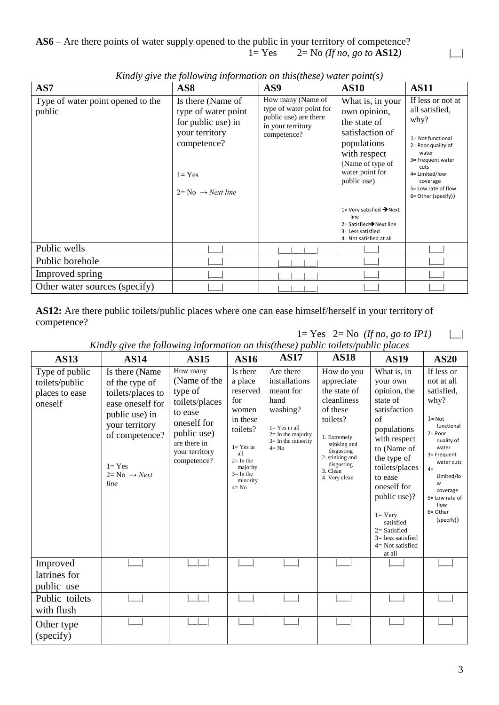**AS6** – Are there points of water supply opened to the public in your territory of competence? 1= Yes 2= No *(If no, go to* **AS12***)* |\_\_|

| AS7                                         | AS <sub>8</sub>                                                                                                                                 | AS9                                                                                                       | <b>AS10</b>                                                                                                                                                                                                                                      | <b>AS11</b>                                                                                                                                                                                                 |
|---------------------------------------------|-------------------------------------------------------------------------------------------------------------------------------------------------|-----------------------------------------------------------------------------------------------------------|--------------------------------------------------------------------------------------------------------------------------------------------------------------------------------------------------------------------------------------------------|-------------------------------------------------------------------------------------------------------------------------------------------------------------------------------------------------------------|
| Type of water point opened to the<br>public | Is there (Name of<br>type of water point<br>for public use) in<br>your territory<br>competence?<br>$l = Yes$<br>$2=$ No $\rightarrow$ Next line | How many (Name of<br>type of water point for<br>public use) are there<br>in your territory<br>competence? | What is, in your<br>own opinion,<br>the state of<br>satisfaction of<br>populations<br>with respect<br>(Name of type of<br>water point for<br>public use)<br>1= Very satisfied $\rightarrow$ Next<br>line<br>2= Satisfied $\rightarrow$ Next line | If less or not at<br>all satisfied,<br>why?<br>$1 = Not$ functional<br>2= Poor quality of<br>water<br>3= Frequent water<br>cuts<br>4= Limited/low<br>coverage<br>5= Low rate of flow<br>6= Other (specify)) |
|                                             |                                                                                                                                                 |                                                                                                           | 3= Less satisfied<br>4= Not satisfied at all                                                                                                                                                                                                     |                                                                                                                                                                                                             |
| Public wells                                |                                                                                                                                                 |                                                                                                           |                                                                                                                                                                                                                                                  |                                                                                                                                                                                                             |
| Public borehole                             |                                                                                                                                                 |                                                                                                           |                                                                                                                                                                                                                                                  |                                                                                                                                                                                                             |
| Improved spring                             |                                                                                                                                                 |                                                                                                           |                                                                                                                                                                                                                                                  |                                                                                                                                                                                                             |
| Other water sources (specify)               |                                                                                                                                                 |                                                                                                           |                                                                                                                                                                                                                                                  |                                                                                                                                                                                                             |

*Kindly give the following information on this(these) water point(s)*

**AS12:** Are there public toilets/public places where one can ease himself/herself in your territory of competence?

 $1=$  Yes  $2=$  No *(If no, go to IP1)*  $|\_$ 

| <b>AS13</b>                                                   | <b>AS14</b>                                                                                                                                                                       | <b>AS15</b>                                                                                                                                     | <b>AS16</b>                                                                                                                                                      | <b>AS17</b>                                                                                                                                 | <b>AS18</b>                                                                                                                                                                                 | <b>AS19</b>                                                                                                                                                                                                                                                                                                     | <b>AS20</b>                                                                                                                                                                                                                            |
|---------------------------------------------------------------|-----------------------------------------------------------------------------------------------------------------------------------------------------------------------------------|-------------------------------------------------------------------------------------------------------------------------------------------------|------------------------------------------------------------------------------------------------------------------------------------------------------------------|---------------------------------------------------------------------------------------------------------------------------------------------|---------------------------------------------------------------------------------------------------------------------------------------------------------------------------------------------|-----------------------------------------------------------------------------------------------------------------------------------------------------------------------------------------------------------------------------------------------------------------------------------------------------------------|----------------------------------------------------------------------------------------------------------------------------------------------------------------------------------------------------------------------------------------|
| Type of public<br>toilets/public<br>places to ease<br>oneself | Is there (Name<br>of the type of<br>toilets/places to<br>ease oneself for<br>public use) in<br>your territory<br>of competence?<br>$1 = Yes$<br>$2 = No \rightarrow Next$<br>line | How many<br>(Name of the<br>type of<br>toilets/places<br>to ease<br>oneself for<br>public use)<br>are there in<br>your territory<br>competence? | Is there<br>a place<br>reserved<br>for<br>women<br>in these<br>toilets?<br>$1 = Yes$ in<br>all<br>$2=$ In the<br>majority<br>$3=$ In the<br>minority<br>$4 = No$ | Are there<br>installations<br>meant for<br>hand<br>washing?<br>$1 = Yes$ in all<br>$2=$ In the majority<br>$3=$ In the minority<br>$4 = No$ | How do you<br>appreciate<br>the state of<br>cleanliness<br>of these<br>toilets?<br>1. Extremely<br>stinking and<br>disgusting<br>2. stinking and<br>disgusting<br>3. Clean<br>4. Very clean | What is, in<br>your own<br>opinion, the<br>state of<br>satisfaction<br>of<br>populations<br>with respect<br>to (Name of<br>the type of<br>toilets/places<br>to ease<br>oneself for<br>public use)?<br>$1 = \text{Very}$<br>satisfied<br>$2=$ Satisfied<br>$3 =$ less satisfied<br>$4 = Not satisfied$<br>at all | If less or<br>not at all<br>satisfied,<br>why?<br>$1 = Not$<br>functional<br>$2 = Poor$<br>quality of<br>water<br>3= Frequent<br>water cuts<br>$4=$<br>Limited/lo<br>W<br>coverage<br>5= Low rate of<br>flow<br>6= Other<br>(specify)) |
| Improved<br>latrines for<br>public use                        |                                                                                                                                                                                   |                                                                                                                                                 |                                                                                                                                                                  |                                                                                                                                             |                                                                                                                                                                                             |                                                                                                                                                                                                                                                                                                                 |                                                                                                                                                                                                                                        |
| Public toilets<br>with flush                                  |                                                                                                                                                                                   |                                                                                                                                                 |                                                                                                                                                                  |                                                                                                                                             |                                                                                                                                                                                             |                                                                                                                                                                                                                                                                                                                 |                                                                                                                                                                                                                                        |
| Other type<br>(specify)                                       |                                                                                                                                                                                   |                                                                                                                                                 |                                                                                                                                                                  |                                                                                                                                             |                                                                                                                                                                                             |                                                                                                                                                                                                                                                                                                                 |                                                                                                                                                                                                                                        |

*Kindly give the following information on this(these) public toilets/public places*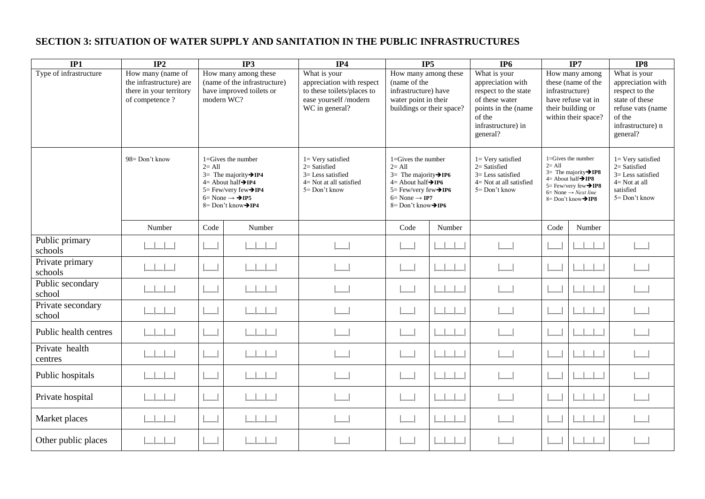# **SECTION 3: SITUATION OF WATER SUPPLY AND SANITATION IN THE PUBLIC INFRASTRUCTURES**

| IP1                         | IP2                                                                                       | IP3                                                                                            |                                                                                                                                                                                                            | IP4                                                                                                                | IP5                                                                                                                                                                                                                    |        | IP <sub>6</sub>                                                                                                                                |                 | IP7                                                                                                                                                                                                                                   | IP8                                                                                                                                   |
|-----------------------------|-------------------------------------------------------------------------------------------|------------------------------------------------------------------------------------------------|------------------------------------------------------------------------------------------------------------------------------------------------------------------------------------------------------------|--------------------------------------------------------------------------------------------------------------------|------------------------------------------------------------------------------------------------------------------------------------------------------------------------------------------------------------------------|--------|------------------------------------------------------------------------------------------------------------------------------------------------|-----------------|---------------------------------------------------------------------------------------------------------------------------------------------------------------------------------------------------------------------------------------|---------------------------------------------------------------------------------------------------------------------------------------|
| Type of infrastructure      | How many (name of<br>the infrastructure) are<br>there in your territory<br>of competence? | How many among these<br>(name of the infrastructure)<br>have improved toilets or<br>modern WC? |                                                                                                                                                                                                            | What is your<br>appreciation with respect<br>to these toilets/places to<br>ease yourself /modern<br>WC in general? | How many among these<br>(name of the<br>infrastructure) have<br>water point in their<br>buildings or their space?                                                                                                      |        | What is your<br>appreciation with<br>respect to the state<br>of these water<br>points in the (name<br>of the<br>infrastructure) in<br>general? | infrastructure) | How many among<br>these (name of the<br>have refuse vat in<br>their building or<br>within their space?                                                                                                                                | What is your<br>appreciation with<br>respect to the<br>state of these<br>refuse vats (name<br>of the<br>infrastructure) n<br>general? |
|                             | 98= Don't know                                                                            | $2=$ All                                                                                       | $1 =$ Gives the number<br>$3=$ The majority $\rightarrow$ IP4<br>$4=$ About half $\rightarrow$ IP4<br>$5 = \text{Few/very few} \rightarrow \text{IP4}$<br>$6 = None \rightarrow PIP5$<br>8= Don't know→IP4 | $1 =$ Very satisfied<br>$2=$ Satisfied<br>$3 =$ Less satisfied<br>$4 = Not$ at all satisfied<br>5 = Don't know     | $1 =$ Gives the number<br>$2 = All$<br>$3=$ The majority $\rightarrow$ IP6<br>$4=$ About half $\rightarrow$ IP6<br>$5 = \text{Few/very few} \rightarrow \text{IP6}$<br>$6 = None \rightarrow IP7$<br>8= Don't know→IP6 |        | $1 =$ Very satisfied<br>$2=$ Satisfied<br>$3 =$ Less satisfied<br>$4 = Not$ at all satisfied<br>5 = Don't know                                 | $2 = All$       | $1 = \text{Gives}$ the number<br>$3=$ The majority $\rightarrow$ IP8<br>$4=$ About half $\rightarrow$ IP8<br>$5 = \text{Few/very few} \rightarrow \text{IP8}$<br>$6 = None \rightarrow Next$ line<br>$8 = Don't know \rightarrow IP8$ | $1=$ Very satisfied<br>$2 =$ Satisfied<br>$3 =$ Less satisfied<br>$4 = Not at all$<br>satisfied<br>5= Don't know                      |
|                             | Number                                                                                    | Code                                                                                           | Number                                                                                                                                                                                                     |                                                                                                                    | Code                                                                                                                                                                                                                   | Number |                                                                                                                                                | Code            | Number                                                                                                                                                                                                                                |                                                                                                                                       |
| Public primary<br>schools   | $\mathbf{1}$ $\mathbf{1}$ $\mathbf{1}$                                                    |                                                                                                | $\Box$                                                                                                                                                                                                     |                                                                                                                    |                                                                                                                                                                                                                        |        |                                                                                                                                                |                 |                                                                                                                                                                                                                                       |                                                                                                                                       |
| Private primary<br>schools  |                                                                                           |                                                                                                |                                                                                                                                                                                                            |                                                                                                                    |                                                                                                                                                                                                                        |        |                                                                                                                                                |                 |                                                                                                                                                                                                                                       |                                                                                                                                       |
| Public secondary<br>school  |                                                                                           |                                                                                                |                                                                                                                                                                                                            |                                                                                                                    |                                                                                                                                                                                                                        |        |                                                                                                                                                |                 |                                                                                                                                                                                                                                       |                                                                                                                                       |
| Private secondary<br>school |                                                                                           |                                                                                                |                                                                                                                                                                                                            |                                                                                                                    |                                                                                                                                                                                                                        |        |                                                                                                                                                |                 |                                                                                                                                                                                                                                       |                                                                                                                                       |
| Public health centres       | $1 - 1 - 1 - 1$                                                                           |                                                                                                | $-1$                                                                                                                                                                                                       |                                                                                                                    |                                                                                                                                                                                                                        |        |                                                                                                                                                |                 |                                                                                                                                                                                                                                       |                                                                                                                                       |
| Private health<br>centres   | 1111                                                                                      |                                                                                                | $\sim$ 1 $\sim$ 1                                                                                                                                                                                          |                                                                                                                    |                                                                                                                                                                                                                        |        |                                                                                                                                                |                 |                                                                                                                                                                                                                                       |                                                                                                                                       |
| Public hospitals            | $\Box$                                                                                    |                                                                                                | $\sim$ 1 $\sim$ 1                                                                                                                                                                                          |                                                                                                                    |                                                                                                                                                                                                                        |        |                                                                                                                                                |                 |                                                                                                                                                                                                                                       |                                                                                                                                       |
| Private hospital            | $\pm$ $\pm$                                                                               |                                                                                                | $\sim$ 1.0                                                                                                                                                                                                 |                                                                                                                    |                                                                                                                                                                                                                        |        |                                                                                                                                                |                 |                                                                                                                                                                                                                                       |                                                                                                                                       |
| Market places               |                                                                                           |                                                                                                |                                                                                                                                                                                                            |                                                                                                                    |                                                                                                                                                                                                                        |        |                                                                                                                                                |                 |                                                                                                                                                                                                                                       |                                                                                                                                       |
| Other public places         |                                                                                           |                                                                                                |                                                                                                                                                                                                            |                                                                                                                    |                                                                                                                                                                                                                        |        |                                                                                                                                                |                 |                                                                                                                                                                                                                                       |                                                                                                                                       |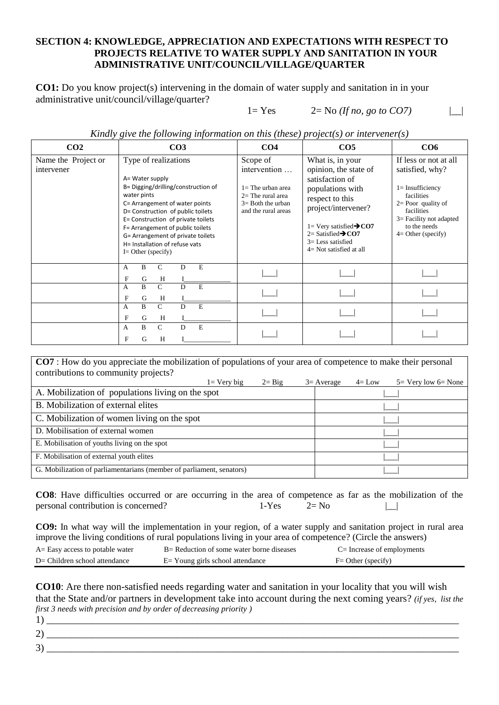#### **SECTION 4: KNOWLEDGE, APPRECIATION AND EXPECTATIONS WITH RESPECT TO PROJECTS RELATIVE TO WATER SUPPLY AND SANITATION IN YOUR ADMINISTRATIVE UNIT/COUNCIL/VILLAGE/QUARTER**

**CO1:** Do you know project(s) intervening in the domain of water supply and sanitation in in your administrative unit/council/village/quarter?

#### $1 = Yes$  2= No *(If no, go to CO7)* |

*Kindly give the following information on this (these) project(s) or intervener(s)*

| CO <sub>2</sub>                   | CO <sub>3</sub>                                                                                                                                                                                                                                                                                                                                | CO <sub>4</sub>                                                                                                       | CO <sub>5</sub>                                                                                                                                                                                                                                                | CO6                                                                                                                                                                                      |
|-----------------------------------|------------------------------------------------------------------------------------------------------------------------------------------------------------------------------------------------------------------------------------------------------------------------------------------------------------------------------------------------|-----------------------------------------------------------------------------------------------------------------------|----------------------------------------------------------------------------------------------------------------------------------------------------------------------------------------------------------------------------------------------------------------|------------------------------------------------------------------------------------------------------------------------------------------------------------------------------------------|
| Name the Project or<br>intervener | Type of realizations<br>A= Water supply<br>B= Digging/drilling/construction of<br>water pints<br>C= Arrangement of water points<br>D= Construction of public toilets<br>E= Construction of private toilets<br>F= Arrangement of public toilets<br>G= Arrangement of private toilets<br>H= Installation of refuse vats<br>$I =$ Other (specify) | Scope of<br>intervention<br>$1 =$ The urban area<br>$2=$ The rural area<br>$3=$ Both the urban<br>and the rural areas | What is, in your<br>opinion, the state of<br>satisfaction of<br>populations with<br>respect to this<br>project/intervener?<br>$1 =$ Very satisfied $\rightarrow$ CO7<br>$2 =$ Satisfied $\rightarrow$ CO7<br>$3 =$ Less satisfied<br>$4=$ Not satisfied at all | If less or not at all<br>satisfied, why?<br>$l =$ Insufficiency<br>facilities<br>$2=$ Poor quality of<br>facilities<br>$3=$ Facility not adapted<br>to the needs<br>$4=$ Other (specify) |
|                                   | E<br>B<br>C<br>A<br>D<br>F<br>G<br>Н                                                                                                                                                                                                                                                                                                           |                                                                                                                       |                                                                                                                                                                                                                                                                |                                                                                                                                                                                          |
|                                   | $\overline{C}$<br>B<br>E.<br>D<br>A<br>F<br>G<br>H                                                                                                                                                                                                                                                                                             |                                                                                                                       |                                                                                                                                                                                                                                                                |                                                                                                                                                                                          |
|                                   | $\mathcal{C}$<br>B<br>D<br>E<br>A<br>F<br>G<br>H                                                                                                                                                                                                                                                                                               |                                                                                                                       |                                                                                                                                                                                                                                                                |                                                                                                                                                                                          |
|                                   | E<br>$\mathcal{C}$<br>B<br>D<br>A<br>H<br>F<br>G                                                                                                                                                                                                                                                                                               |                                                                                                                       |                                                                                                                                                                                                                                                                |                                                                                                                                                                                          |

**CO7** : How do you appreciate the mobilization of populations of your area of competence to make their personal contributions to community projects?  $1=$  Very big  $2=$  Big  $3=$  Average  $4=$  Low  $5=$  Very low  $6=$  None A. Mobilization of populations living on the spot  $\qquad$ B. Mobilization of external elites C. Mobilization of women living on the spot D. Mobilisation of external women E. Mobilisation of youths living on the spot F. Mobilisation of external youth elites G. Mobilization of parliamentarians (member of parliament, senators)

**CO8**: Have difficulties occurred or are occurring in the area of competence as far as the mobilization of the personal contribution is concerned?  $1-Yes$   $2=No$  |\_\_|

**CO9:** In what way will the implementation in your region, of a water supply and sanitation project in rural area improve the living conditions of rural populations living in your area of competence? (Circle the answers)

| A= Easy access to potable water | $B=$ Reduction of some water borne diseases | $C=$ Increase of employments |
|---------------------------------|---------------------------------------------|------------------------------|
| D= Children school attendance   | $E =$ Young girls school attendance         | $F =$ Other (specify)        |

**CO10**: Are there non-satisfied needs regarding water and sanitation in your locality that you will wish that the State and/or partners in development take into account during the next coming years? *(if yes, list the first 3 needs with precision and by order of decreasing priority )*

| - |  |
|---|--|
| ັ |  |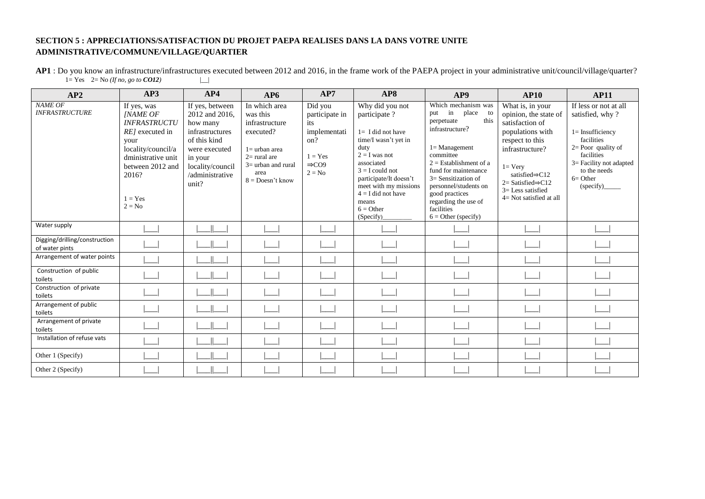#### **SECTION 5 : APPRECIATIONS/SATISFACTION DU PROJET PAEPA REALISES DANS LA DANS VOTRE UNITE ADMINISTRATIVE/COMMUNE/VILLAGE/QUARTIER**

**AP1** : Do you know an infrastructure/infrastructures executed between 2012 and 2016, in the frame work of the PAEPA project in your administrative unit/council/village/quarter?  $1 = Yes \quad 2 = No (If no, go to CO12)$ 

| AP2                                             | AP3                                                                                                                                                                                | AP4                                                                                                                                                          | AP6                                                                                                                                                  | AP7                                                                                                   | AP8                                                                                                                                                                                                                                                           | AP9                                                                                                                                                                                                                                                                                                              | <b>AP10</b>                                                                                                                                                                                                                                                   | <b>AP11</b>                                                                                                                                                                                 |
|-------------------------------------------------|------------------------------------------------------------------------------------------------------------------------------------------------------------------------------------|--------------------------------------------------------------------------------------------------------------------------------------------------------------|------------------------------------------------------------------------------------------------------------------------------------------------------|-------------------------------------------------------------------------------------------------------|---------------------------------------------------------------------------------------------------------------------------------------------------------------------------------------------------------------------------------------------------------------|------------------------------------------------------------------------------------------------------------------------------------------------------------------------------------------------------------------------------------------------------------------------------------------------------------------|---------------------------------------------------------------------------------------------------------------------------------------------------------------------------------------------------------------------------------------------------------------|---------------------------------------------------------------------------------------------------------------------------------------------------------------------------------------------|
| <b>NAME OF</b><br><b>INFRASTRUCTURE</b>         | If yes, was<br><b>[NAME OF</b><br><b>INFRASTRUCTU</b><br>RE] executed in<br>your<br>locality/council/a<br>dministrative unit<br>between 2012 and<br>2016?<br>$1 = Yes$<br>$2 = No$ | If yes, between<br>2012 and 2016,<br>how many<br>infrastructures<br>of this kind<br>were executed<br>in your<br>locality/council<br>/administrative<br>unit? | In which area<br>was this<br>infrastructure<br>executed?<br>$1 =$ urban area<br>$2 =$ rural are<br>$3=$ urban and rural<br>area<br>$8 = Desn't know$ | Did you<br>participate in<br>its<br>implementati<br>on?<br>$1 = Yes$<br>$\Rightarrow$ CO9<br>$2 = No$ | Why did you not<br>participate?<br>$1 = I$ did not have<br>time/I wasn't yet in<br>duty<br>$2 = I$ was not<br>associated<br>$3 = I$ could not<br>participate/It doesn't<br>meet with my missions<br>$4 = I$ did not have<br>means<br>$6 =$ Other<br>(Specify) | Which mechanism was<br>in<br>place<br>to<br>put<br>this<br>perpetuate<br>infrastructure?<br>$l =$ Management<br>committee<br>$2 =$ Establishment of a<br>fund for maintenance<br>$3=$ Sensitization of<br>personnel/students on<br>good practices<br>regarding the use of<br>facilities<br>$6 = Other$ (specify) | What is, in your<br>opinion, the state of<br>satisfaction of<br>populations with<br>respect to this<br>infrastructure?<br>$1 = V$ ery<br>satisfied $\Rightarrow$ C12<br>$2 = Satisfied \Rightarrow C12$<br>$3 =$ Less satisfied<br>$4 = Not satisfied at all$ | If less or not at all<br>satisfied, why?<br>$1 =$ Insufficiency<br>facilities<br>$2=$ Poor quality of<br>facilities<br>$3=$ Facility not adapted<br>to the needs<br>$6=$ Other<br>(specify) |
| Water supply                                    |                                                                                                                                                                                    |                                                                                                                                                              |                                                                                                                                                      |                                                                                                       |                                                                                                                                                                                                                                                               |                                                                                                                                                                                                                                                                                                                  |                                                                                                                                                                                                                                                               |                                                                                                                                                                                             |
| Digging/drilling/construction<br>of water pints |                                                                                                                                                                                    |                                                                                                                                                              |                                                                                                                                                      |                                                                                                       |                                                                                                                                                                                                                                                               |                                                                                                                                                                                                                                                                                                                  |                                                                                                                                                                                                                                                               |                                                                                                                                                                                             |
| Arrangement of water points                     |                                                                                                                                                                                    |                                                                                                                                                              |                                                                                                                                                      |                                                                                                       |                                                                                                                                                                                                                                                               |                                                                                                                                                                                                                                                                                                                  |                                                                                                                                                                                                                                                               |                                                                                                                                                                                             |
| Construction of public<br>toilets               |                                                                                                                                                                                    |                                                                                                                                                              |                                                                                                                                                      |                                                                                                       |                                                                                                                                                                                                                                                               |                                                                                                                                                                                                                                                                                                                  |                                                                                                                                                                                                                                                               |                                                                                                                                                                                             |
| Construction of private<br>toilets              |                                                                                                                                                                                    |                                                                                                                                                              |                                                                                                                                                      |                                                                                                       |                                                                                                                                                                                                                                                               |                                                                                                                                                                                                                                                                                                                  |                                                                                                                                                                                                                                                               |                                                                                                                                                                                             |
| Arrangement of public<br>toilets                |                                                                                                                                                                                    |                                                                                                                                                              |                                                                                                                                                      |                                                                                                       |                                                                                                                                                                                                                                                               |                                                                                                                                                                                                                                                                                                                  |                                                                                                                                                                                                                                                               |                                                                                                                                                                                             |
| Arrangement of private<br>toilets               |                                                                                                                                                                                    |                                                                                                                                                              |                                                                                                                                                      |                                                                                                       |                                                                                                                                                                                                                                                               |                                                                                                                                                                                                                                                                                                                  |                                                                                                                                                                                                                                                               |                                                                                                                                                                                             |
| Installation of refuse vats                     |                                                                                                                                                                                    |                                                                                                                                                              |                                                                                                                                                      |                                                                                                       |                                                                                                                                                                                                                                                               |                                                                                                                                                                                                                                                                                                                  |                                                                                                                                                                                                                                                               |                                                                                                                                                                                             |
| Other 1 (Specify)                               |                                                                                                                                                                                    |                                                                                                                                                              |                                                                                                                                                      |                                                                                                       |                                                                                                                                                                                                                                                               |                                                                                                                                                                                                                                                                                                                  |                                                                                                                                                                                                                                                               |                                                                                                                                                                                             |
| Other 2 (Specify)                               |                                                                                                                                                                                    |                                                                                                                                                              |                                                                                                                                                      |                                                                                                       |                                                                                                                                                                                                                                                               |                                                                                                                                                                                                                                                                                                                  |                                                                                                                                                                                                                                                               |                                                                                                                                                                                             |